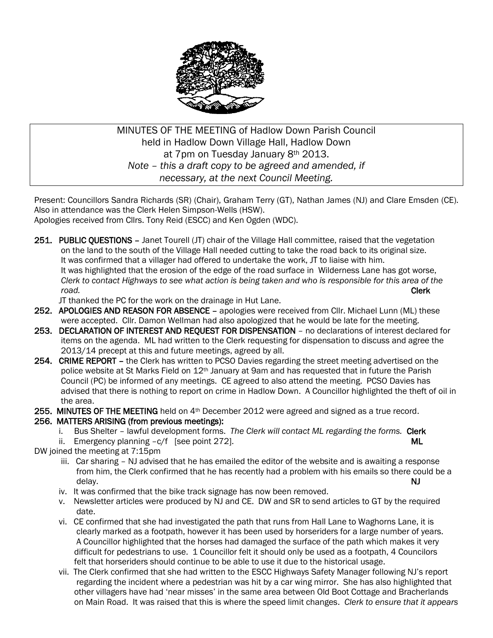

## MINUTES OF THE MEETING of Hadlow Down Parish Council held in Hadlow Down Village Hall, Hadlow Down at 7pm on Tuesday January 8th 2013. *Note – this a draft copy to be agreed and amended, if necessary, at the next Council Meeting.*

Present: Councillors Sandra Richards (SR) (Chair), Graham Terry (GT), Nathan James (NJ) and Clare Emsden (CE). Also in attendance was the Clerk Helen Simpson-Wells (HSW). Apologies received from Cllrs. Tony Reid (ESCC) and Ken Ogden (WDC).

251. PUBLIC OUESTIONS - Janet Tourell (JT) chair of the Village Hall committee, raised that the vegetation on the land to the south of the Village Hall needed cutting to take the road back to its original size. It was confirmed that a villager had offered to undertake the work, JT to liaise with him. It was highlighted that the erosion of the edge of the road surface in Wilderness Lane has got worse,  *Clerk to contact Highways to see what action is being taken and who is responsible for this area of the road.* **Clerk** 

JT thanked the PC for the work on the drainage in Hut Lane.

- 252. APOLOGIES AND REASON FOR ABSENCE apologies were received from Cllr. Michael Lunn (ML) these were accepted. Cllr. Damon Wellman had also apologized that he would be late for the meeting.
- 253. DECLARATION OF INTEREST AND REQUEST FOR DISPENSATION no declarations of interest declared for items on the agenda. ML had written to the Clerk requesting for dispensation to discuss and agree the 2013/14 precept at this and future meetings, agreed by all.
- 254. CRIME REPORT the Clerk has written to PCSO Davies regarding the street meeting advertised on the police website at St Marks Field on 12th January at 9am and has requested that in future the Parish Council (PC) be informed of any meetings. CE agreed to also attend the meeting. PCSO Davies has advised that there is nothing to report on crime in Hadlow Down. A Councillor highlighted the theft of oil in the area.
- 255. MINUTES OF THE MEETING held on 4<sup>th</sup> December 2012 were agreed and signed as a true record.

#### 256. MATTERS ARISING (from previous meetings):

- i. Bus Shelter lawful development forms. The Clerk will contact ML regarding the forms. Clerk
- ii. Emergency planning -c/f [see point 272].
- DW joined the meeting at 7:15pm
- iii. Car sharing NJ advised that he has emailed the editor of the website and is awaiting a response from him, the Clerk confirmed that he has recently had a problem with his emails so there could be a delay. NJ
	- iv. It was confirmed that the bike track signage has now been removed.
	- v. Newsletter articles were produced by NJ and CE. DW and SR to send articles to GT by the required date.
	- vi. CE confirmed that she had investigated the path that runs from Hall Lane to Waghorns Lane, it is clearly marked as a footpath, however it has been used by horseriders for a large number of years. A Councillor highlighted that the horses had damaged the surface of the path which makes it very difficult for pedestrians to use. 1 Councillor felt it should only be used as a footpath, 4 Councilors felt that horseriders should continue to be able to use it due to the historical usage.
	- vii. The Clerk confirmed that she had written to the ESCC Highways Safety Manager following NJ's report regarding the incident where a pedestrian was hit by a car wing mirror. She has also highlighted that other villagers have had 'near misses' in the same area between Old Boot Cottage and Bracherlands on Main Road. It was raised that this is where the speed limit changes. *Clerk to ensure that it appears*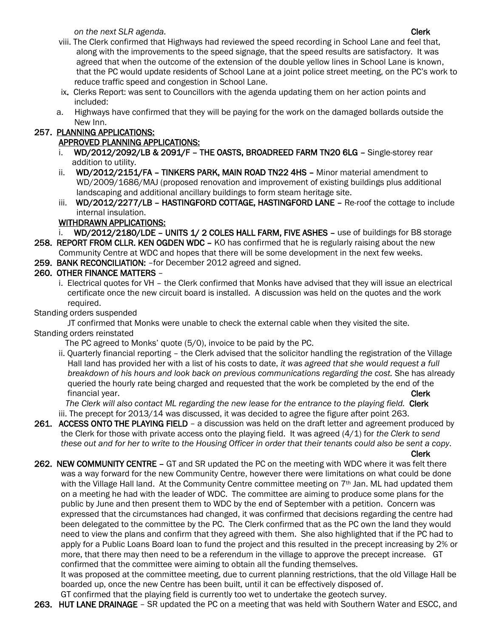*on the next SLR agenda.* Clerk and the next substitution of the next set of the next substitution of the next substitution of the next substitution of the next substitution of the next substitution of the next substitut

- viii. The Clerk confirmed that Highways had reviewed the speed recording in School Lane and feel that, along with the improvements to the speed signage, that the speed results are satisfactory. It was agreed that when the outcome of the extension of the double yellow lines in School Lane is known, that the PC would update residents of School Lane at a joint police street meeting, on the PC's work to reduce traffic speed and congestion in School Lane.
- ix. Clerks Report: was sent to Councillors with the agenda updating them on her action points and included:
- a. Highways have confirmed that they will be paying for the work on the damaged bollards outside the New Inn.

# 257. PLANNING APPLICATIONS:

# APPROVED PLANNING APPLICATIONS:

- WD/2012/2092/LB & 2091/F THE OASTS, BROADREED FARM TN20 6LG Single-storey rear addition to utility.
- ii. WD/2012/2151/FA TINKERS PARK, MAIN ROAD TN22 4HS Minor material amendment to WD/2009/1686/MAJ (proposed renovation and improvement of existing buildings plus additional landscaping and additional ancillary buildings to form steam heritage site.
- iii. WD/2012/2277/LB HASTINGFORD COTTAGE, HASTINGFORD LANE Re-roof the cottage to include internal insulation.

# WITHDRAWN APPLICATIONS:

- i. WD/2012/2180/LDE UNITS 1/2 COLES HALL FARM, FIVE ASHES use of buildings for B8 storage
- 258. REPORT FROM CLLR. KEN OGDEN WDC KO has confirmed that he is regularly raising about the new Community Centre at WDC and hopes that there will be some development in the next few weeks.
- 259. BANK RECONCILIATION: –for December 2012 agreed and signed.

# 260. OTHER FINANCE MATTERS –

 i. Electrical quotes for VH – the Clerk confirmed that Monks have advised that they will issue an electrical certificate once the new circuit board is installed. A discussion was held on the quotes and the work required.

# Standing orders suspended

 JT confirmed that Monks were unable to check the external cable when they visited the site. Standing orders reinstated

- The PC agreed to Monks' quote (5/0), invoice to be paid by the PC.
- ii. Quarterly financial reporting the Clerk advised that the solicitor handling the registration of the Village Hall land has provided her with a list of his costs to date, *it was agreed that she would request a full breakdown of his hours and look back on previous communications regarding the cost.* She has already queried the hourly rate being charged and requested that the work be completed by the end of the financial year. Clerk that is a structure of the contract of the clerk clerk of the clerk clerk clerk clerk clerk

The Clerk will also contact ML regarding the new lease for the entrance to the playing field. Clerk iii. The precept for 2013/14 was discussed, it was decided to agree the figure after point 263.

261. ACCESS ONTO THE PLAYING FIELD – a discussion was held on the draft letter and agreement produced by the Clerk for those with private access onto the playing field. It was agreed (4/1) for *the Clerk to send these out and for her to write to the Housing Officer in order that their tenants could also be sent a copy*.

Clerk

262. NEW COMMUNITY CENTRE - GT and SR updated the PC on the meeting with WDC where it was felt there was a way forward for the new Community Centre, however there were limitations on what could be done with the Village Hall land. At the Community Centre committee meeting on 7<sup>th</sup> Jan. ML had updated them on a meeting he had with the leader of WDC. The committee are aiming to produce some plans for the public by June and then present them to WDC by the end of September with a petition. Concern was expressed that the circumstances had changed, it was confirmed that decisions regarding the centre had been delegated to the committee by the PC. The Clerk confirmed that as the PC own the land they would need to view the plans and confirm that they agreed with them. She also highlighted that if the PC had to apply for a Public Loans Board loan to fund the project and this resulted in the precept increasing by 2% or more, that there may then need to be a referendum in the village to approve the precept increase. GT confirmed that the committee were aiming to obtain all the funding themselves.

 It was proposed at the committee meeting, due to current planning restrictions, that the old Village Hall be boarded up, once the new Centre has been built, until it can be effectively disposed of.

GT confirmed that the playing field is currently too wet to undertake the geotech survey.

263. HUT LANE DRAINAGE – SR updated the PC on a meeting that was held with Southern Water and ESCC, and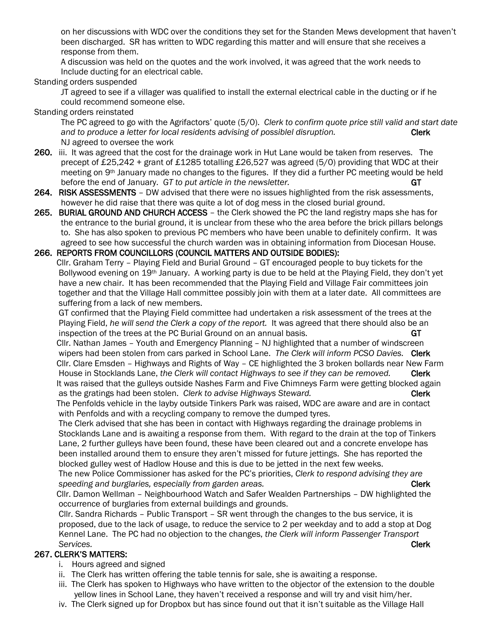on her discussions with WDC over the conditions they set for the Standen Mews development that haven't been discharged. SR has written to WDC regarding this matter and will ensure that she receives a response from them.

 A discussion was held on the quotes and the work involved, it was agreed that the work needs to Include ducting for an electrical cable.

Standing orders suspended

 JT agreed to see if a villager was qualified to install the external electrical cable in the ducting or if he could recommend someone else.

Standing orders reinstated

 The PC agreed to go with the Agrifactors' quote (5/0). *Clerk to confirm quote price still valid and start date and to produce a letter for local residents advising of possiblel disruption.* Clerk NJ agreed to oversee the work

- 260. iii. It was agreed that the cost for the drainage work in Hut Lane would be taken from reserves. The precept of £25,242 + grant of £1285 totalling £26,527 was agreed (5/0) providing that WDC at their meeting on 9th January made no changes to the figures. If they did a further PC meeting would be held before the end of January. GT to put article in the newsletter.
- 264. RISK ASSESSMENTS DW advised that there were no issues highlighted from the risk assessments, however he did raise that there was quite a lot of dog mess in the closed burial ground.
- 265. BURIAL GROUND AND CHURCH ACCESS the Clerk showed the PC the land registry maps she has for the entrance to the burial ground, it is unclear from these who the area before the brick pillars belongs to. She has also spoken to previous PC members who have been unable to definitely confirm. It was agreed to see how successful the church warden was in obtaining information from Diocesan House.

#### 266. REPORTS FROM COUNCILLORS (COUNCIL MATTERS AND OUTSIDE BODIES):

 Cllr. Graham Terry – Playing Field and Burial Ground – GT encouraged people to buy tickets for the Bollywood evening on 19<sup>th</sup> January. A working party is due to be held at the Playing Field, they don't yet have a new chair. It has been recommended that the Playing Field and Village Fair committees join together and that the Village Hall committee possibly join with them at a later date. All committees are suffering from a lack of new members.

 GT confirmed that the Playing Field committee had undertaken a risk assessment of the trees at the Playing Field, *he will send the Clerk a copy of the report.* It was agreed that there should also be an inspection of the trees at the PC Burial Ground on an annual basis. GT

 Cllr. Nathan James – Youth and Emergency Planning – NJ highlighted that a number of windscreen wipers had been stolen from cars parked in School Lane. *The Clerk will inform PCSO Davies.* Clerk Cllr. Clare Emsden – Highways and Rights of Way – CE highlighted the 3 broken bollards near New Farm House in Stocklands Lane, *the Clerk will contact Highways to see if they can be removed.* Clerk It was raised that the gulleys outside Nashes Farm and Five Chimneys Farm were getting blocked again as the gratings had been stolen. *Clerk to advise Highways Steward.* Clerk Clerk

 The Penfolds vehicle in the layby outside Tinkers Park was raised, WDC are aware and are in contact with Penfolds and with a recycling company to remove the dumped tyres.

 The Clerk advised that she has been in contact with Highways regarding the drainage problems in Stocklands Lane and is awaiting a response from them. With regard to the drain at the top of Tinkers Lane, 2 further gulleys have been found, these have been cleared out and a concrete envelope has been installed around them to ensure they aren't missed for future jettings. She has reported the blocked gulley west of Hadlow House and this is due to be jetted in the next few weeks.

 The new Police Commissioner has asked for the PC's priorities, *Clerk to respond advising they are speeding and burglaries, especially from garden areas.* **Clerk Clerk Clerk Clerk Clerk Clerk Clerk Clerk Clerk Clerk Clerk Clerk Clerk Clerk Clerk Clerk Clerk Clerk Clerk Clerk Clerk Clerk Clerk Clerk Clerk Clerk Clerk Cl** 

 Cllr. Damon Wellman – Neighbourhood Watch and Safer Wealden Partnerships – DW highlighted the occurrence of burglaries from external buildings and grounds.

 Cllr. Sandra Richards – Public Transport – SR went through the changes to the bus service, it is proposed, due to the lack of usage, to reduce the service to 2 per weekday and to add a stop at Dog Kennel Lane. The PC had no objection to the changes, *the Clerk will inform Passenger Transport Services.* Clerk

#### 267. CLERK'S MATTERS:

- i. Hours agreed and signed
- ii. The Clerk has written offering the table tennis for sale, she is awaiting a response.
- iii. The Clerk has spoken to Highways who have written to the objector of the extension to the double yellow lines in School Lane, they haven't received a response and will try and visit him/her.
- iv. The Clerk signed up for Dropbox but has since found out that it isn't suitable as the Village Hall